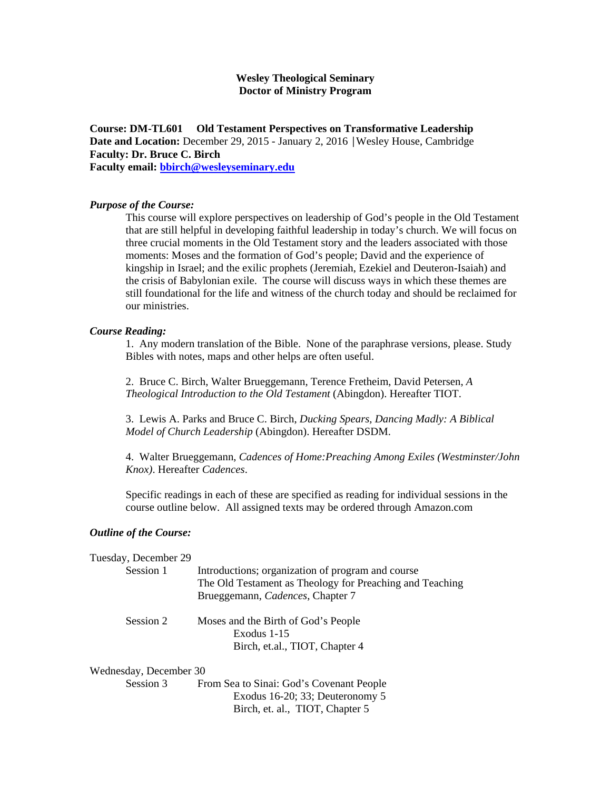## **Wesley Theological Seminary Doctor of Ministry Program**

**Course: DM-TL601 Old Testament Perspectives on Transformative Leadership Date and Location:** December 29, 2015 - January 2, 2016 │Wesley House, Cambridge **Faculty: Dr. Bruce C. Birch Faculty email: bbirch@wesleyseminary.edu**

*Purpose of the Course:* 

This course will explore perspectives on leadership of God's people in the Old Testament that are still helpful in developing faithful leadership in today's church. We will focus on three crucial moments in the Old Testament story and the leaders associated with those moments: Moses and the formation of God's people; David and the experience of kingship in Israel; and the exilic prophets (Jeremiah, Ezekiel and Deuteron-Isaiah) and the crisis of Babylonian exile. The course will discuss ways in which these themes are still foundational for the life and witness of the church today and should be reclaimed for our ministries.

## *Course Reading:*

1. Any modern translation of the Bible. None of the paraphrase versions, please. Study Bibles with notes, maps and other helps are often useful.

2. Bruce C. Birch, Walter Brueggemann, Terence Fretheim, David Petersen, *A Theological Introduction to the Old Testament* (Abingdon). Hereafter TIOT.

3. Lewis A. Parks and Bruce C. Birch, *Ducking Spears, Dancing Madly: A Biblical Model of Church Leadership* (Abingdon). Hereafter DSDM.

4. Walter Brueggemann, *Cadences of Home:Preaching Among Exiles (Westminster/John Knox)*. Hereafter *Cadences*.

Specific readings in each of these are specified as reading for individual sessions in the course outline below. All assigned texts may be ordered through Amazon.com

## *Outline of the Course:*

| Tuesday, December 29   |                                                                                                               |
|------------------------|---------------------------------------------------------------------------------------------------------------|
| Session 1              | Introductions; organization of program and course<br>The Old Testament as Theology for Preaching and Teaching |
|                        | Brueggemann, Cadences, Chapter 7                                                                              |
| Session 2              | Moses and the Birth of God's People                                                                           |
|                        | Exodus 1-15                                                                                                   |
|                        | Birch, et.al., TIOT, Chapter 4                                                                                |
| Wednesday, December 30 |                                                                                                               |
| Session 3              | From Sea to Sinai: God's Covenant People                                                                      |
|                        | Exodus 16-20; 33; Deuteronomy 5                                                                               |
|                        | Birch, et. al., TIOT, Chapter 5                                                                               |